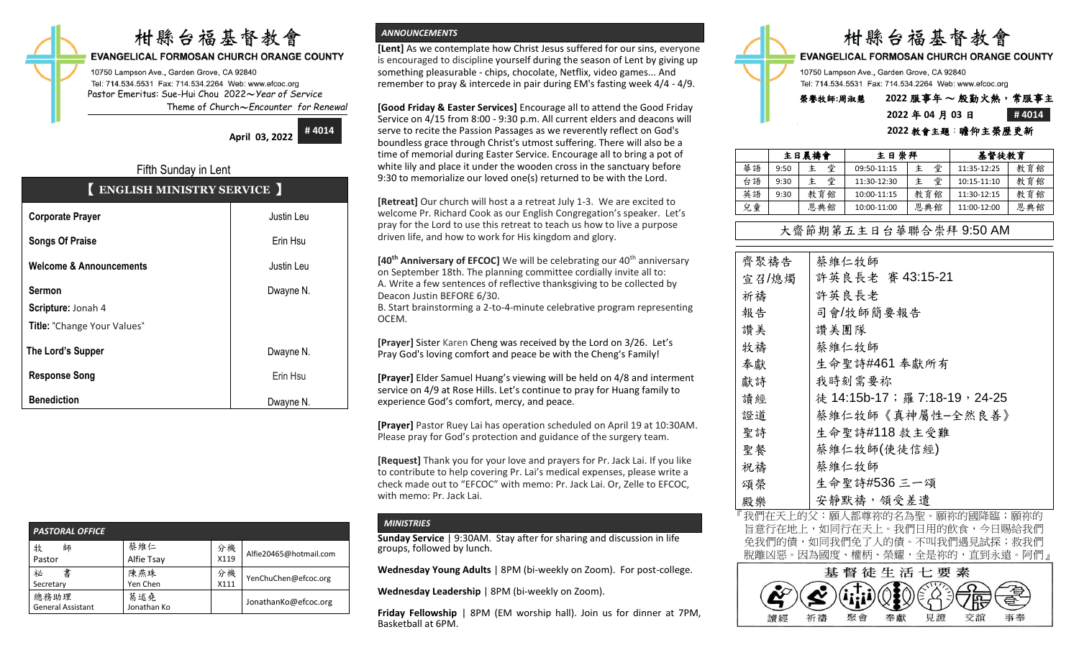# 柑縣台福基督教會

**EVANGELICAL FORMOSAN CHURCH ORANGE COUNTY** 

10750 Lampson Ave., Garden Grove, CA 92840 Tel: 714.534.5531 Fax: 714.534.2264 Web: www.efcoc.org Pastor Emeritus: Sue-Hui Chou 2022〜*Year of Service* Theme of Church〜*Encounter for Renewal*

> **April 03, 2022 # 4014**

# Fifth Sunday in Lent 【 **ENGLISH MINISTRY SERVICE** 】

| <b>Corporate Prayer</b>            | Justin Leu |
|------------------------------------|------------|
| <b>Songs Of Praise</b>             | Erin Hsu   |
| <b>Welcome &amp; Announcements</b> | Justin Leu |
| <b>Sermon</b>                      | Dwayne N.  |
| Scripture: Jonah 4                 |            |
| Title: "Change Your Values"        |            |
| The Lord's Supper                  | Dwayne N.  |
| <b>Response Song</b>               | Erin Hsu   |
| <b>Benediction</b>                 | Dwayne N.  |

| <b>PASTORAL OFFICE</b>           |                    |            |                        |  |  |  |  |  |  |
|----------------------------------|--------------------|------------|------------------------|--|--|--|--|--|--|
| 牧<br>師<br>Pastor                 | 蔡維仁<br>Alfie Tsay  | 分機<br>X119 | Alfie20465@hotmail.com |  |  |  |  |  |  |
| 書<br>祕                           | 陳燕珠                | 分機         |                        |  |  |  |  |  |  |
| Secretary                        | Yen Chen           | X111       | YenChuChen@efcoc.org   |  |  |  |  |  |  |
| 總務助理<br><b>General Assistant</b> | 葛述堯<br>Jonathan Ko |            | JonathanKo@efcoc.org   |  |  |  |  |  |  |

## *ANNOUNCEMENTS*

**[Lent]** As we contemplate how Christ Jesus suffered for our sins, everyone is encouraged to discipline yourself during the season of Lent by giving up something pleasurable - chips, chocolate, Netflix, video games... And remember to pray & intercede in pair during EM's fasting week 4/4 - 4/9.

**[Good Friday & Easter Services]** Encourage all to attend the Good Friday Service on 4/15 from 8:00 - 9:30 p.m. All current elders and deacons will serve to recite the Passion Passages as we reverently reflect on God's boundless grace through Christ's utmost suffering. There will also be a time of memorial during Easter Service. Encourage all to bring a pot of white lily and place it under the wooden cross in the sanctuary before 9:30 to memorialize our loved one(s) returned to be with the Lord.

**[Retreat]** Our church will host a a retreat July 1-3. We are excited to welcome Pr. Richard Cook as our English Congregation's speaker. Let's pray for the Lord to use this retreat to teach us how to live a purpose driven life, and how to work for His kingdom and glory.

**[40<sup>th</sup> Anniversary of EFCOC]** We will be celebrating our 40<sup>th</sup> anniversary on September 18th. The planning committee cordially invite all to: A. Write a few sentences of reflective thanksgiving to be collected by Deacon Justin BEFORE 6/30.

B. Start brainstorming a 2-to-4-minute celebrative program representing OCEM.

**[Prayer]** Sister Karen Cheng was received by the Lord on 3/26. Let's Pray God's loving comfort and peace be with the Cheng's Family!

**[Prayer]** Elder Samuel Huang's viewing will be held on 4/8 and interment service on 4/9 at Rose Hills. Let's continue to pray for Huang family to experience God's comfort, mercy, and peace.

**[Prayer]** Pastor Ruey Lai has operation scheduled on April 19 at 10:30AM. Please pray for God's protection and guidance of the surgery team.

**[Request]** Thank you for your love and prayers for Pr. Jack Lai. If you like to contribute to help covering Pr. Lai's medical expenses, please write a check made out to "EFCOC" with memo: Pr. Jack Lai. Or, Zelle to EFCOC, with memo: Pr. Jack Lai.

## *MINISTRIES*

**Sunday Service** | 9:30AM. Stay after for sharing and discussion in life groups, followed by lunch.

**Wednesday Young Adults** | 8PM (bi-weekly on Zoom). For post-college.

**Wednesday Leadership** | 8PM (bi-weekly on Zoom).

**Friday Fellowship** | 8PM (EM worship hall). Join us for dinner at 7PM, Basketball at 6PM.



**EVANGELICAL FORMOSAN CHURCH ORANGE COUNTY** 

10750 Lampson Ave., Garden Grove, CA 92840 Tel: 714.534.5531 Fax: 714.534.2264 Web: www.efcoc.org

# 榮譽牧師**:**周淑慧 **2022** 服事年 〜 殷勤火熱,常服事主 **2022** 年 **04** 月 **03** 日 **# 4014**

#### **2022** 教會主題:瞻仰主榮歷更新

|    | 主日晨禱會 |        | 主日崇拜        |     | 基督徒教育           |     |
|----|-------|--------|-------------|-----|-----------------|-----|
| 華語 | 9:50  | 堂<br>主 | 09:50-11:15 | 堂   | 11:35-12:25     | 教育館 |
| 台語 | 9:30  | 堂<br>主 | 11:30-12:30 | 堂   | $10:15 - 11:10$ | 教育館 |
| 英語 | 9:30  | 教育館    | 10:00-11:15 | 教育館 | 11:30-12:15     | 教育館 |
| 兒童 |       | 恩典館    | 10:00-11:00 | 恩典館 | 11:00-12:00     | 恩典館 |

## 大齋節期第五主日台華聯合崇拜 9:50 AM

| 齊聚禱告  | 蔡維仁牧師                       |
|-------|-----------------------------|
| 宣召/熄燭 | 許英良長老 賽 43:15-21            |
| 祈禱    | 許英良長老                       |
| 報告    | 司會/牧師簡要報告                   |
| 讚美    | 讚美團隊                        |
| 牧禱    | 蔡維仁牧師                       |
| 奉獻    | 生命聖詩#461 奉獻所有               |
| 獻詩    | 我時刻需要祢                      |
| 讀經    | 徒 14:15b-17;羅 7:18-19,24-25 |
| 證道    | 蔡維仁牧師《真神屬性-全然良善》            |
| 聖詩    | 生命聖詩#118 救主受難               |
| 聖餐    | 蔡維仁牧師(使徒信經)                 |
| 祝禱    | 蔡維仁牧師                       |
| 頌榮    | 生命聖詩#536 三一頌                |
| 殿樂    | 安靜默禱, 領受差遣                  |

我們在天上的父:願人都尊祢的名為聖。願祢的國降臨;願祢的 旨意行在地上,如同行在天上。我們日用的飲食,今日賜給我們 免我們的債,如同我們免了人的債。不叫我們遇見試探;救我們 脫離凶惡。因為國度、權柄、榮耀,全是祢的,直到永遠。阿們』